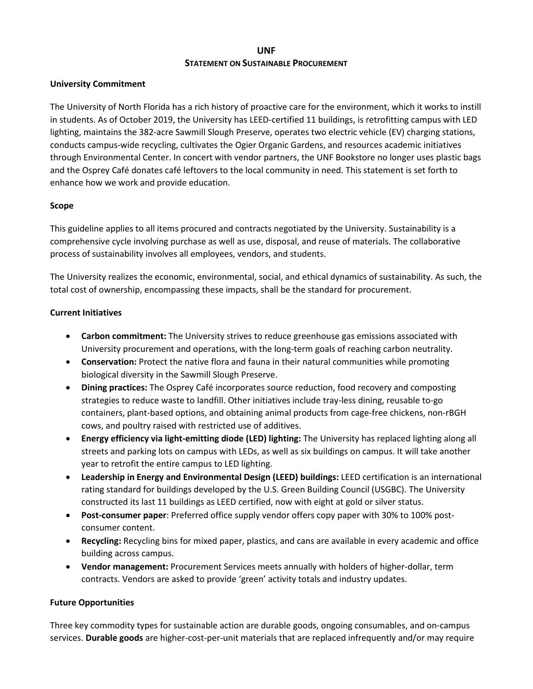# **UNF STATEMENT ON SUSTAINABLE PROCUREMENT**

### **University Commitment**

 The University of North Florida has a rich history of proactive care for the environment, which it works to instill in students. As of October 2019, the University has LEED-certified 11 buildings, is retrofitting campus with LED lighting, maintains the 382-acre Sawmill Slough Preserve, operates two electric vehicle (EV) charging stations, conducts campus-wide recycling, cultivates the Ogier Organic Gardens, and resources academic initiatives and the Osprey Café donates café leftovers to the local community in need. This statement is set forth to enhance how we work and provide education. through Environmental Center. In concert with vendor partners, the UNF Bookstore no longer uses plastic bags

#### **Scope**

This guideline applies to all items procured and contracts negotiated by the University. Sustainability is a comprehensive cycle involving purchase as well as use, disposal, and reuse of materials. The collaborative process of sustainability involves all employees, vendors, and students.

 The University realizes the economic, environmental, social, and ethical dynamics of sustainability. As such, the total cost of ownership, encompassing these impacts, shall be the standard for procurement.

#### **Current Initiatives**

- • **Carbon commitment:** The University strives to reduce greenhouse gas emissions associated with University procurement and operations, with the long-term goals of reaching carbon neutrality.
- **Conservation:** Protect the native flora and fauna in their natural communities while promoting biological diversity in the Sawmill Slough Preserve.
- strategies to reduce waste to landfill. Other initiatives include tray-less dining, reusable to-go • **Dining practices:** The Osprey Café incorporates source reduction, food recovery and composting containers, plant-based options, and obtaining animal products from cage-free chickens, non-rBGH cows, and poultry raised with restricted use of additives.
- streets and parking lots on campus with LEDs, as well as six buildings on campus. It will take another year to retrofit the entire campus to LED lighting. • **Energy efficiency via light-emitting diode (LED) lighting:** The University has replaced lighting along all
- **Leadership in Energy and Environmental Design (LEED) buildings:** LEED certification is an international rating standard for buildings developed by the U.S. Green Building Council (USGBC). The University constructed its last 11 buildings as LEED certified, now with eight at gold or silver status.
- • **Post-consumer paper**: Preferred office supply vendor offers copy paper with 30% to 100% postconsumer content.
- • **Recycling:** Recycling bins for mixed paper, plastics, and cans are available in every academic and office building across campus.
- **Vendor management:** Procurement Services meets annually with holders of higher-dollar, term contracts. Vendors are asked to provide 'green' activity totals and industry updates.

#### **Future Opportunities**

 services. **Durable goods** are higher-cost-per-unit materials that are replaced infrequently and/or may require Three key commodity types for sustainable action are durable goods, ongoing consumables, and on-campus